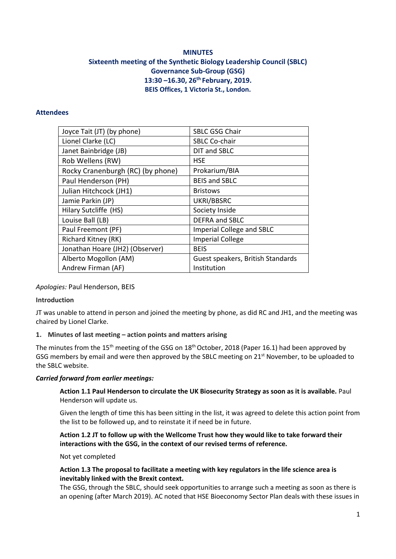# **MINUTES Sixteenth meeting of the Synthetic Biology Leadership Council (SBLC) Governance Sub-Group (GSG) 13:30 –16.30, 26th February, 2019. BEIS Offices, 1 Victoria St., London.**

### **Attendees**

| Joyce Tait (JT) (by phone)        | <b>SBLC GSG Chair</b>             |
|-----------------------------------|-----------------------------------|
| Lionel Clarke (LC)                | <b>SBLC Co-chair</b>              |
| Janet Bainbridge (JB)             | DIT and SBLC                      |
| Rob Wellens (RW)                  | <b>HSE</b>                        |
| Rocky Cranenburgh (RC) (by phone) | Prokarium/BIA                     |
| Paul Henderson (PH)               | <b>BEIS and SBLC</b>              |
| Julian Hitchcock (JH1)            | <b>Bristows</b>                   |
| Jamie Parkin (JP)                 | UKRI/BBSRC                        |
| Hilary Sutcliffe (HS)             | Society Inside                    |
| Louise Ball (LB)                  | <b>DEFRA and SBLC</b>             |
| Paul Freemont (PF)                | <b>Imperial College and SBLC</b>  |
| Richard Kitney (RK)               | <b>Imperial College</b>           |
| Jonathan Hoare (JH2) (Observer)   | <b>BEIS</b>                       |
| Alberto Mogollon (AM)             | Guest speakers, British Standards |
| Andrew Firman (AF)                | Institution                       |

## *Apologies:* Paul Henderson, BEIS

## **Introduction**

JT was unable to attend in person and joined the meeting by phone, as did RC and JH1, and the meeting was chaired by Lionel Clarke.

## **1. Minutes of last meeting – action points and matters arising**

The minutes from the 15<sup>th</sup> meeting of the GSG on 18<sup>th</sup> October, 2018 (Paper 16.1) had been approved by GSG members by email and were then approved by the SBLC meeting on 21<sup>st</sup> November, to be uploaded to the SBLC website.

### *Carried forward from earlier meetings:*

**Action 1.1 Paul Henderson to circulate the UK Biosecurity Strategy as soon as it is available.** Paul Henderson will update us.

Given the length of time this has been sitting in the list, it was agreed to delete this action point from the list to be followed up, and to reinstate it if need be in future.

### **Action 1.2 JT to follow up with the Wellcome Trust how they would like to take forward their interactions with the GSG, in the context of our revised terms of reference.**

Not yet completed

### **Action 1.3 The proposal to facilitate a meeting with key regulators in the life science area is inevitably linked with the Brexit context.**

The GSG, through the SBLC, should seek opportunities to arrange such a meeting as soon as there is an opening (after March 2019). AC noted that HSE Bioeconomy Sector Plan deals with these issues in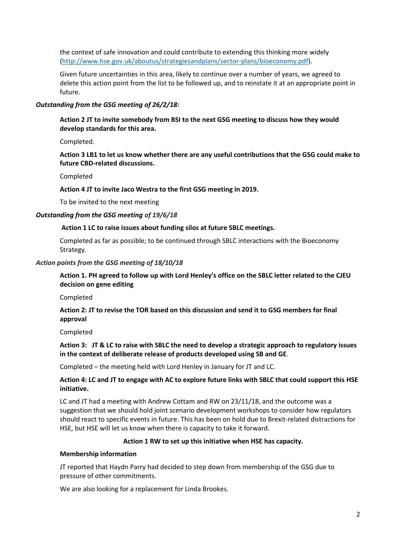the context of safe innovation and could contribute to extending this thinking more widely [\(http://www.hse.gov.uk/aboutus/strategiesandplans/sector-plans/bioeconomy.pdf\)](http://www.hse.gov.uk/aboutus/strategiesandplans/sector-plans/bioeconomy.pdf).

Given future uncertainties in this area, likely to continue over a number of years, we agreed to delete this action point from the list to be followed up, and to reinstate it at an appropriate point in future.

#### *Outstanding from the GSG meeting of 26/2/18:*

**Action 2 JT to invite somebody from BSI to the next GSG meeting to discuss how they would develop standards for this area.**

Completed.

**Action 3 LB1 to let us know whether there are any useful contributions that the GSG could make to future CBD-related discussions.**

#### Completed

#### **Action 4 JT to invite Jaco Westra to the first GSG meeting in 2019.**

To be invited to the next meeting

#### *Outstanding from the GSG meeting of 19/6/18*

#### **Action 1 LC to raise issues about funding silos at future SBLC meetings.**

Completed as far as possible; to be continued through SBLC interactions with the Bioeconomy Strategy.

#### *Action points from the GSG meeting of 18/10/18*

**Action 1. PH agreed to follow up with Lord Henley's office on the SBLC letter related to the CJEU decision on gene editing**

Completed

**Action 2: JT to revise the TOR based on this discussion and send it to GSG members for final approval**

Completed

### **Action 3: JT & LC to raise with SBLC the need to develop a strategic approach to regulatory issues in the context of deliberate release of products developed using SB and GE**.

Completed – the meeting held with Lord Henley in January for JT and LC.

### **Action 4: LC and JT to engage with AC to explore future links with SBLC that could support this HSE initiative.**

LC and JT had a meeting with Andrew Cottam and RW on 23/11/18, and the outcome was a suggestion that we should hold joint scenario development workshops to consider how regulators should react to specific events in future. This has been on hold due to Brexit-related distractions for HSE, but HSE will let us know when there is capacity to take it forward.

#### **Action 1 RW to set up this initiative when HSE has capacity.**

#### **Membership information**

JT reported that Haydn Parry had decided to step down from membership of the GSG due to pressure of other commitments.

We are also looking for a replacement for Linda Brookes.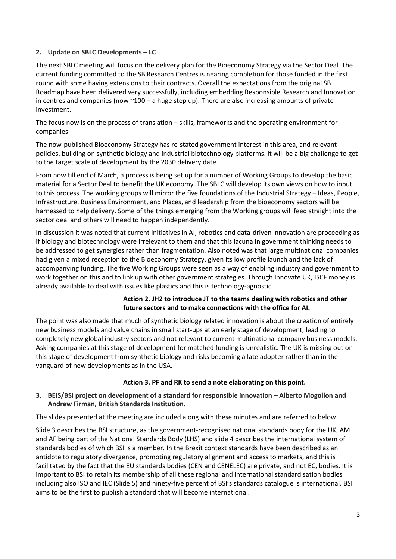## **2. Update on SBLC Developments – LC**

The next SBLC meeting will focus on the delivery plan for the Bioeconomy Strategy via the Sector Deal. The current funding committed to the SB Research Centres is nearing completion for those funded in the first round with some having extensions to their contracts. Overall the expectations from the original SB Roadmap have been delivered very successfully, including embedding Responsible Research and Innovation in centres and companies (now  $\sim 100 - a$  huge step up). There are also increasing amounts of private investment.

The focus now is on the process of translation – skills, frameworks and the operating environment for companies.

The now-published Bioeconomy Strategy has re-stated government interest in this area, and relevant policies, building on synthetic biology and industrial biotechnology platforms. It will be a big challenge to get to the target scale of development by the 2030 delivery date.

From now till end of March, a process is being set up for a number of Working Groups to develop the basic material for a Sector Deal to benefit the UK economy. The SBLC will develop its own views on how to input to this process. The working groups will mirror the five foundations of the Industrial Strategy – Ideas, People, Infrastructure, Business Environment, and Places, and leadership from the bioeconomy sectors will be harnessed to help delivery. Some of the things emerging from the Working groups will feed straight into the sector deal and others will need to happen independently.

In discussion it was noted that current initiatives in AI, robotics and data-driven innovation are proceeding as if biology and biotechnology were irrelevant to them and that this lacuna in government thinking needs to be addressed to get synergies rather than fragmentation. Also noted was that large multinational companies had given a mixed reception to the Bioeconomy Strategy, given its low profile launch and the lack of accompanying funding. The five Working Groups were seen as a way of enabling industry and government to work together on this and to link up with other government strategies. Through Innovate UK, ISCF money is already available to deal with issues like plastics and this is technology-agnostic.

### **Action 2. JH2 to introduce JT to the teams dealing with robotics and other future sectors and to make connections with the office for AI.**

The point was also made that much of synthetic biology related innovation is about the creation of entirely new business models and value chains in small start-ups at an early stage of development, leading to completely new global industry sectors and not relevant to current multinational company business models. Asking companies at this stage of development for matched funding is unrealistic. The UK is missing out on this stage of development from synthetic biology and risks becoming a late adopter rather than in the vanguard of new developments as in the USA.

### **Action 3. PF and RK to send a note elaborating on this point.**

## **3. BEIS/BSI project on development of a standard for responsible innovation – Alberto Mogollon and Andrew Firman, British Standards Institution.**

The slides presented at the meeting are included along with these minutes and are referred to below.

Slide 3 describes the BSI structure, as the government-recognised national standards body for the UK, AM and AF being part of the National Standards Body (LHS) and slide 4 describes the international system of standards bodies of which BSI is a member. In the Brexit context standards have been described as an antidote to regulatory divergence, promoting regulatory alignment and access to markets, and this is facilitated by the fact that the EU standards bodies (CEN and CENELEC) are private, and not EC, bodies. It is important to BSI to retain its membership of all these regional and international standardisation bodies including also ISO and IEC (Slide 5) and ninety-five percent of BSI's standards catalogue is international. BSI aims to be the first to publish a standard that will become international.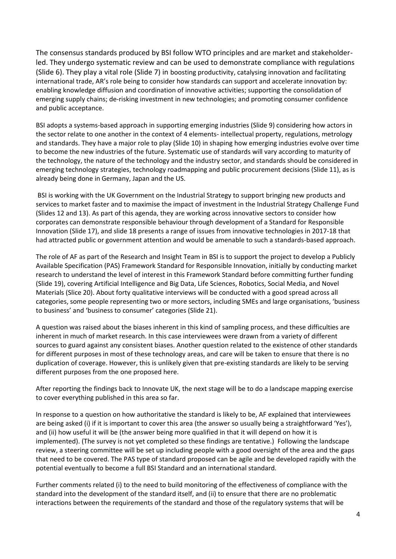The consensus standards produced by BSI follow WTO principles and are market and stakeholderled. They undergo systematic review and can be used to demonstrate compliance with regulations (Slide 6). They play a vital role (Slide 7) in boosting productivity, catalysing innovation and facilitating international trade, AR's role being to consider how standards can support and accelerate innovation by: enabling knowledge diffusion and coordination of innovative activities; supporting the consolidation of emerging supply chains; de-risking investment in new technologies; and promoting consumer confidence and public acceptance.

BSI adopts a systems-based approach in supporting emerging industries (Slide 9) considering how actors in the sector relate to one another in the context of 4 elements- intellectual property, regulations, metrology and standards. They have a major role to play (Slide 10) in shaping how emerging industries evolve over time to become the new industries of the future. Systematic use of standards will vary according to maturity of the technology, the nature of the technology and the industry sector, and standards should be considered in emerging technology strategies, technology roadmapping and public procurement decisions (Slide 11), as is already being done in Germany, Japan and the US.

BSI is working with the UK Government on the Industrial Strategy to support bringing new products and services to market faster and to maximise the impact of investment in the Industrial Strategy Challenge Fund (Slides 12 and 13). As part of this agenda, they are working across innovative sectors to consider how corporates can demonstrate responsible behaviour through development of a Standard for Responsible Innovation (Slide 17), and slide 18 presents a range of issues from innovative technologies in 2017-18 that had attracted public or government attention and would be amenable to such a standards-based approach.

The role of AF as part of the Research and Insight Team in BSI is to support the project to develop a Publicly Available Specification (PAS) Framework Standard for Responsible Innovation, initially by conducting market research to understand the level of interest in this Framework Standard before committing further funding (Slide 19), covering Artificial Intelligence and Big Data, Life Sciences, Robotics, Social Media, and Novel Materials (Slice 20). About forty qualitative interviews will be conducted with a good spread across all categories, some people representing two or more sectors, including SMEs and large organisations, 'business to business' and 'business to consumer' categories (Slide 21).

A question was raised about the biases inherent in this kind of sampling process, and these difficulties are inherent in much of market research. In this case interviewees were drawn from a variety of different sources to guard against any consistent biases. Another question related to the existence of other standards for different purposes in most of these technology areas, and care will be taken to ensure that there is no duplication of coverage. However, this is unlikely given that pre-existing standards are likely to be serving different purposes from the one proposed here.

After reporting the findings back to Innovate UK, the next stage will be to do a landscape mapping exercise to cover everything published in this area so far.

In response to a question on how authoritative the standard is likely to be, AF explained that interviewees are being asked (i) if it is important to cover this area (the answer so usually being a straightforward 'Yes'), and (ii) how useful it will be (the answer being more qualified in that it will depend on how it is implemented). (The survey is not yet completed so these findings are tentative.) Following the landscape review, a steering committee will be set up including people with a good oversight of the area and the gaps that need to be covered. The PAS type of standard proposed can be agile and be developed rapidly with the potential eventually to become a full BSI Standard and an international standard.

Further comments related (i) to the need to build monitoring of the effectiveness of compliance with the standard into the development of the standard itself, and (ii) to ensure that there are no problematic interactions between the requirements of the standard and those of the regulatory systems that will be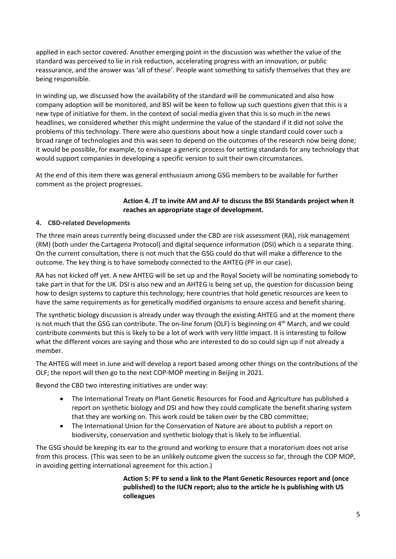applied in each sector covered. Another emerging point in the discussion was whether the value of the standard was perceived to lie in risk reduction, accelerating progress with an innovation, or public reassurance, and the answer was 'all of these'. People want something to satisfy themselves that they are being responsible.

In winding up, we discussed how the availability of the standard will be communicated and also how company adoption will be monitored, and BSI will be keen to follow up such questions given that this is a new type of initiative for them. In the context of social media given that this is so much in the news headlines, we considered whether this might undermine the value of the standard if it did not solve the problems of this technology. There were also questions about how a single standard could cover such a broad range of technologies and this was seen to depend on the outcomes of the research now being done; it would be possible, for example, to envisage a generic process for setting standards for any technology that would support companies in developing a specific version to suit their own circumstances.

At the end of this item there was general enthusiasm among GSG members to be available for further comment as the project progresses.

## **Action 4. JT to invite AM and AF to discuss the BSI Standards project when it reaches an appropriate stage of development.**

## **4. CBD-related Developments**

The three main areas currently being discussed under the CBD are risk assessment (RA), risk management (RM) (both under the Cartagena Protocol) and digital sequence information (DSI) which is a separate thing. On the current consultation, there is not much that the GSG could do that will make a difference to the outcome. The key thing is to have somebody connected to the AHTEG (PF in our case).

RA has not kicked off yet. A new AHTEG will be set up and the Royal Society will be nominating somebody to take part in that for the UK. DSI is also new and an AHTEG is being set up, the question for discussion being how to design systems to capture this technology; here countries that hold genetic resources are keen to have the same requirements as for genetically modified organisms to ensure access and benefit sharing.

The synthetic biology discussion is already under way through the existing AHTEG and at the moment there is not much that the GSG can contribute. The on-line forum (OLF) is beginning on  $4<sup>th</sup>$  March, and we could contribute comments but this is likely to be a lot of work with very little impact. It is interesting to follow what the different voices are saying and those who are interested to do so could sign up if not already a member.

The AHTEG will meet in June and will develop a report based among other things on the contributions of the OLF; the report will then go to the next COP-MOP meeting in Beijing in 2021.

Beyond the CBD two interesting initiatives are under way:

- The International Treaty on Plant Genetic Resources for Food and Agriculture has published a report on synthetic biology and DSI and how they could complicate the benefit sharing system that they are working on. This work could be taken over by the CBD committee;
- The International Union for the Conservation of Nature are about to publish a report on biodiversity, conservation and synthetic biology that is likely to be influential.

The GSG should be keeping its ear to the ground and working to ensure that a moratorium does not arise from this process. (This was seen to be an unlikely outcome given the success so far, through the COP MOP, in avoiding getting international agreement for this action.)

> **Action 5: PF to send a link to the Plant Genetic Resources report and (once published) to the IUCN report; also to the article he is publishing with US colleagues**